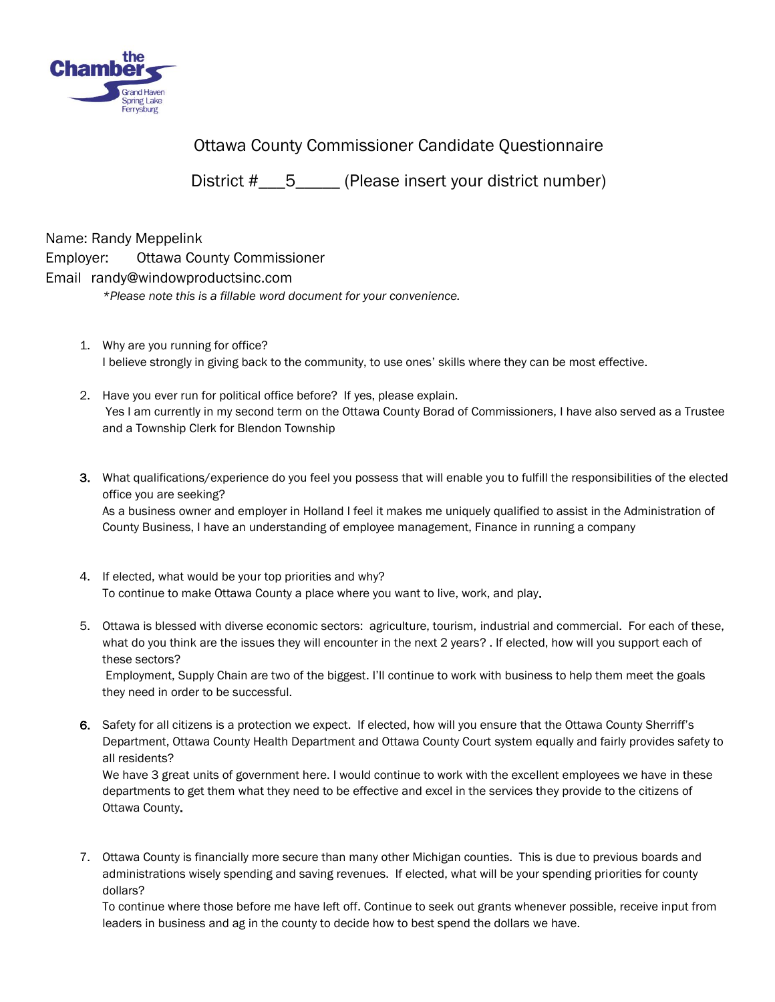

Ottawa County Commissioner Candidate Questionnaire

District #  $\overline{5}$  (Please insert your district number)

Name: Randy Meppelink

## Employer: Ottawa County Commissioner

## Email randy@windowproductsinc.com

*\*Please note this is a fillable word document for your convenience.* 

- 1. Why are you running for office? I believe strongly in giving back to the community, to use ones' skills where they can be most effective.
- 2. Have you ever run for political office before? If yes, please explain. Yes I am currently in my second term on the Ottawa County Borad of Commissioners, I have also served as a Trustee and a Township Clerk for Blendon Township
- 3. What qualifications/experience do you feel you possess that will enable you to fulfill the responsibilities of the elected office you are seeking?

As a business owner and employer in Holland I feel it makes me uniquely qualified to assist in the Administration of County Business, I have an understanding of employee management, Finance in running a company

- 4. If elected, what would be your top priorities and why? To continue to make Ottawa County a place where you want to live, work, and play.
- 5. Ottawa is blessed with diverse economic sectors: agriculture, tourism, industrial and commercial. For each of these, what do you think are the issues they will encounter in the next 2 years? . If elected, how will you support each of these sectors?

Employment, Supply Chain are two of the biggest. I'll continue to work with business to help them meet the goals they need in order to be successful.

6. Safety for all citizens is a protection we expect. If elected, how will you ensure that the Ottawa County Sherriff's Department, Ottawa County Health Department and Ottawa County Court system equally and fairly provides safety to all residents?

We have 3 great units of government here. I would continue to work with the excellent employees we have in these departments to get them what they need to be effective and excel in the services they provide to the citizens of Ottawa County.

7. Ottawa County is financially more secure than many other Michigan counties. This is due to previous boards and administrations wisely spending and saving revenues. If elected, what will be your spending priorities for county dollars?

To continue where those before me have left off. Continue to seek out grants whenever possible, receive input from leaders in business and ag in the county to decide how to best spend the dollars we have.